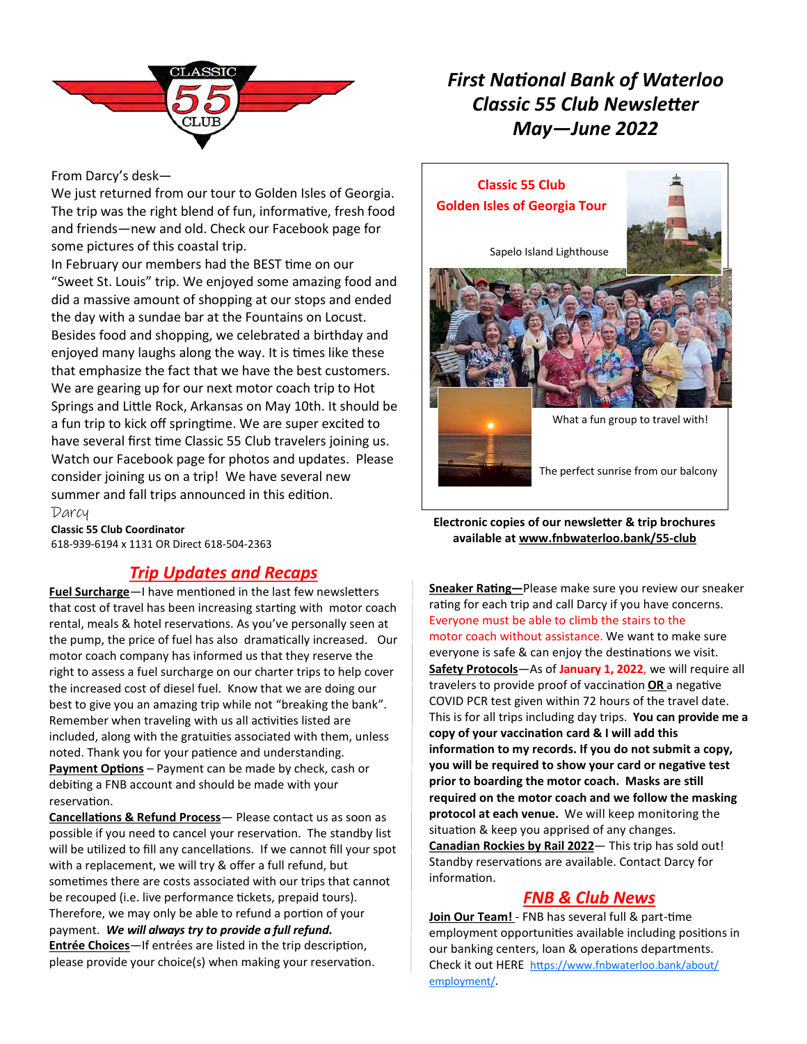

## *First National Bank of Waterloo Classic 55 Club Newsletter May—June 2022*

#### From Darcy's desk—

We just returned from our tour to Golden Isles of Georgia. The trip was the right blend of fun, informative, fresh food and friends—new and old. Check our Facebook page for some pictures of this coastal trip.

In February our members had the BEST time on our "Sweet St. Louis" trip. We enjoyed some amazing food and did a massive amount of shopping at our stops and ended the day with a sundae bar at the Fountains on Locust. Besides food and shopping, we celebrated a birthday and enjoyed many laughs along the way. It is times like these that emphasize the fact that we have the best customers. We are gearing up for our next motor coach trip to Hot Springs and Little Rock, Arkansas on May 10th. It should be a fun trip to kick off springtime. We are super excited to have several first time Classic 55 Club travelers joining us. Watch our Facebook page for photos and updates. Please consider joining us on a trip! We have several new summer and fall trips announced in this edition. Darcy

**Classic 55 Club Coordinator**  618-939-6194 x 1131 OR Direct 618-504-2363

## *Trip Updates and Recaps*

**Fuel Surcharge**—I have mentioned in the last few newsletters that cost of travel has been increasing starting with motor coach rental, meals & hotel reservations. As you've personally seen at the pump, the price of fuel has also dramatically increased. Our motor coach company has informed us that they reserve the right to assess a fuel surcharge on our charter trips to help cover the increased cost of diesel fuel. Know that we are doing our best to give you an amazing trip while not "breaking the bank". Remember when traveling with us all activities listed are included, along with the gratuities associated with them, unless noted. Thank you for your patience and understanding. **Payment Options** – Payment can be made by check, cash or debiting a FNB account and should be made with your reservation.

**Cancellations & Refund Process**— Please contact us as soon as possible if you need to cancel your reservation. The standby list will be utilized to fill any cancellations. If we cannot fill your spot with a replacement, we will try & offer a full refund, but sometimes there are costs associated with our trips that cannot be recouped (i.e. live performance tickets, prepaid tours). Therefore, we may only be able to refund a portion of your payment. *We will always try to provide a full refund.* **Entrée Choices**—If entrées are listed in the trip description, please provide your choice(s) when making your reservation.



**Electronic copies of our newsletter & trip brochures available at [www.fnbwaterloo.bank/55](http://www.fnbwaterloo.bank/55-club)-club**

**Sneaker Rating—**Please make sure you review our sneaker rating for each trip and call Darcy if you have concerns. Everyone must be able to climb the stairs to the motor coach without assistance. We want to make sure everyone is safe & can enjoy the destinations we visit. **Safety Protocols**—As of **January 1, 2022**, we will require all travelers to provide proof of vaccination **OR** a negative COVID PCR test given within 72 hours of the travel date. This is for all trips including day trips. **You can provide me a copy of your vaccination card & I will add this information to my records. If you do not submit a copy, you will be required to show your card or negative test prior to boarding the motor coach. Masks are still required on the motor coach and we follow the masking protocol at each venue.** We will keep monitoring the situation & keep you apprised of any changes. **Canadian Rockies by Rail 2022**— This trip has sold out! Standby reservations are available. Contact Darcy for information.

#### *FNB & Club News*

**Join Our Team!** - FNB has several full & part-time employment opportunities available including positions in our banking centers, loan & operations departments. Check it out HERE [https://www.fnbwaterloo.bank/about/](https://www.fnbwaterloo.bank/about/employment/) [employment/](https://www.fnbwaterloo.bank/about/employment/).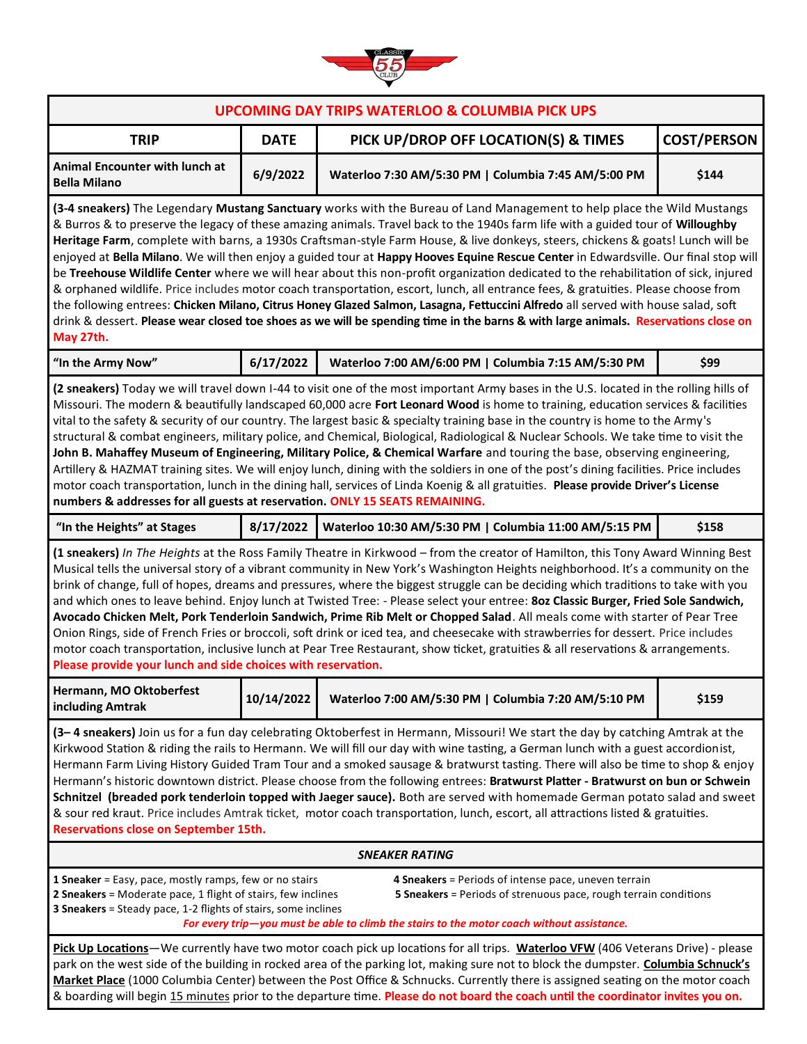

| <b>UPCOMING DAY TRIPS WATERLOO &amp; COLUMBIA PICK UPS</b>                                                                                                                                                                                                                                                                                                                                                                                                                                                                                                                                                                                                                                                                                                                                                                                                                                                                                                                                                                                                                                               |             |                                                       |                    |
|----------------------------------------------------------------------------------------------------------------------------------------------------------------------------------------------------------------------------------------------------------------------------------------------------------------------------------------------------------------------------------------------------------------------------------------------------------------------------------------------------------------------------------------------------------------------------------------------------------------------------------------------------------------------------------------------------------------------------------------------------------------------------------------------------------------------------------------------------------------------------------------------------------------------------------------------------------------------------------------------------------------------------------------------------------------------------------------------------------|-------------|-------------------------------------------------------|--------------------|
| <b>TRIP</b>                                                                                                                                                                                                                                                                                                                                                                                                                                                                                                                                                                                                                                                                                                                                                                                                                                                                                                                                                                                                                                                                                              | <b>DATE</b> | PICK UP/DROP OFF LOCATION(S) & TIMES                  | <b>COST/PERSON</b> |
| Animal Encounter with lunch at<br><b>Bella Milano</b>                                                                                                                                                                                                                                                                                                                                                                                                                                                                                                                                                                                                                                                                                                                                                                                                                                                                                                                                                                                                                                                    | 6/9/2022    | Waterloo 7:30 AM/5:30 PM   Columbia 7:45 AM/5:00 PM   | \$144              |
| (3-4 sneakers) The Legendary Mustang Sanctuary works with the Bureau of Land Management to help place the Wild Mustangs<br>& Burros & to preserve the legacy of these amazing animals. Travel back to the 1940s farm life with a guided tour of Willoughby<br>Heritage Farm, complete with barns, a 1930s Craftsman-style Farm House, & live donkeys, steers, chickens & goats! Lunch will be<br>enjoyed at Bella Milano. We will then enjoy a guided tour at Happy Hooves Equine Rescue Center in Edwardsville. Our final stop will<br>be Treehouse Wildlife Center where we will hear about this non-profit organization dedicated to the rehabilitation of sick, injured<br>& orphaned wildlife. Price includes motor coach transportation, escort, lunch, all entrance fees, & gratuities. Please choose from<br>the following entrees: Chicken Milano, Citrus Honey Glazed Salmon, Lasagna, Fettuccini Alfredo all served with house salad, soft<br>drink & dessert. Please wear closed toe shoes as we will be spending time in the barns & with large animals. Reservations close on<br>May 27th. |             |                                                       |                    |
| "In the Army Now"                                                                                                                                                                                                                                                                                                                                                                                                                                                                                                                                                                                                                                                                                                                                                                                                                                                                                                                                                                                                                                                                                        | 6/17/2022   | Waterloo 7:00 AM/6:00 PM   Columbia 7:15 AM/5:30 PM   | \$99               |
| (2 sneakers) Today we will travel down I-44 to visit one of the most important Army bases in the U.S. located in the rolling hills of<br>Missouri. The modern & beautifully landscaped 60,000 acre Fort Leonard Wood is home to training, education services & facilities<br>vital to the safety & security of our country. The largest basic & specialty training base in the country is home to the Army's<br>structural & combat engineers, military police, and Chemical, Biological, Radiological & Nuclear Schools. We take time to visit the<br>John B. Mahaffey Museum of Engineering, Military Police, & Chemical Warfare and touring the base, observing engineering,<br>Artillery & HAZMAT training sites. We will enjoy lunch, dining with the soldiers in one of the post's dining facilities. Price includes<br>motor coach transportation, lunch in the dining hall, services of Linda Koenig & all gratuities. Please provide Driver's License<br>numbers & addresses for all guests at reservation. ONLY 15 SEATS REMAINING.                                                            |             |                                                       |                    |
| "In the Heights" at Stages                                                                                                                                                                                                                                                                                                                                                                                                                                                                                                                                                                                                                                                                                                                                                                                                                                                                                                                                                                                                                                                                               | 8/17/2022   | Waterloo 10:30 AM/5:30 PM   Columbia 11:00 AM/5:15 PM | \$158              |
| (1 sneakers) In The Heights at the Ross Family Theatre in Kirkwood - from the creator of Hamilton, this Tony Award Winning Best<br>Musical tells the universal story of a vibrant community in New York's Washington Heights neighborhood. It's a community on the<br>brink of change, full of hopes, dreams and pressures, where the biggest struggle can be deciding which traditions to take with you<br>and which ones to leave behind. Enjoy lunch at Twisted Tree: - Please select your entree: 8oz Classic Burger, Fried Sole Sandwich,<br>Avocado Chicken Melt, Pork Tenderloin Sandwich, Prime Rib Melt or Chopped Salad. All meals come with starter of Pear Tree<br>Onion Rings, side of French Fries or broccoli, soft drink or iced tea, and cheesecake with strawberries for dessert. Price includes<br>motor coach transportation, inclusive lunch at Pear Tree Restaurant, show ticket, gratuities & all reservations & arrangements.<br>Please provide your lunch and side choices with reservation.                                                                                    |             |                                                       |                    |
| Hermann, MO Oktoberfest<br>including Amtrak                                                                                                                                                                                                                                                                                                                                                                                                                                                                                                                                                                                                                                                                                                                                                                                                                                                                                                                                                                                                                                                              | 10/14/2022  | Waterloo 7:00 AM/5:30 PM   Columbia 7:20 AM/5:10 PM   | \$159              |
| (3-4 sneakers) Join us for a fun day celebrating Oktoberfest in Hermann, Missouri! We start the day by catching Amtrak at the<br>Kirkwood Station & riding the rails to Hermann. We will fill our day with wine tasting, a German lunch with a guest accordionist,<br>Hermann Farm Living History Guided Tram Tour and a smoked sausage & bratwurst tasting. There will also be time to shop & enjoy<br>Hermann's historic downtown district. Please choose from the following entrees: Bratwurst Platter - Bratwurst on bun or Schwein<br>Schnitzel (breaded pork tenderloin topped with Jaeger sauce). Both are served with homemade German potato salad and sweet<br>& sour red kraut. Price includes Amtrak ticket, motor coach transportation, lunch, escort, all attractions listed & gratuities.<br>Reservations close on September 15th.                                                                                                                                                                                                                                                         |             |                                                       |                    |
| <b>SNEAKER RATING</b>                                                                                                                                                                                                                                                                                                                                                                                                                                                                                                                                                                                                                                                                                                                                                                                                                                                                                                                                                                                                                                                                                    |             |                                                       |                    |
| 1 Sneaker = Easy, pace, mostly ramps, few or no stairs<br>4 Sneakers = Periods of intense pace, uneven terrain<br>5 Sneakers = Periods of strenuous pace, rough terrain conditions<br>2 Sneakers = Moderate pace, 1 flight of stairs, few inclines<br>3 Sneakers = Steady pace, 1-2 flights of stairs, some inclines<br>For every trip-you must be able to climb the stairs to the motor coach without assistance.                                                                                                                                                                                                                                                                                                                                                                                                                                                                                                                                                                                                                                                                                       |             |                                                       |                    |
| Pick Up Locations-We currently have two motor coach pick up locations for all trips. Waterloo VFW (406 Veterans Drive) - please<br>park on the west side of the building in rocked area of the parking lot, making sure not to block the dumpster. Columbia Schnuck's                                                                                                                                                                                                                                                                                                                                                                                                                                                                                                                                                                                                                                                                                                                                                                                                                                    |             |                                                       |                    |

**Market Place** (1000 Columbia Center) between the Post Office & Schnucks. Currently there is assigned seating on the motor coach & boarding will begin 15 minutes prior to the departure time. **Please do not board the coach until the coordinator invites you on.**